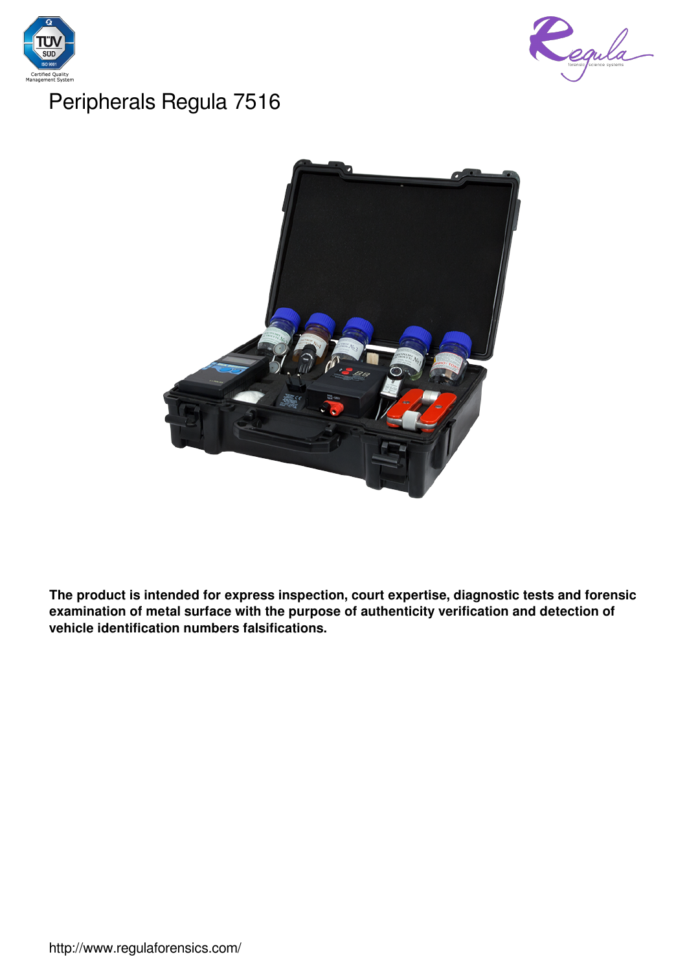



# Peripherals Regula 7516



**The product is intended for express inspection, court expertise, diagnostic tests and forensic examination of metal surface with the purpose of authenticity verification and detection of vehicle identification numbers falsifications.**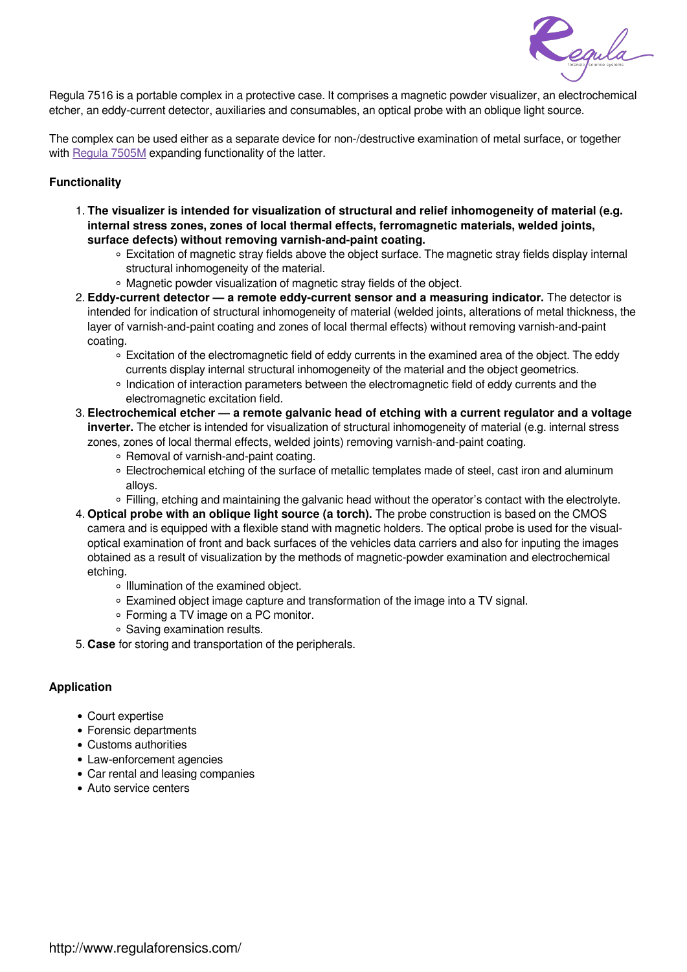

Regula 7516 is a portable complex in a protective case. It comprises a magnetic powder visualizer, an electrochemical etcher, an eddy-current detector, auxiliaries and consumables, an optical probe with an oblique light source.

The complex can be used either as a separate device for non-/destructive examination of metal surface, or together with Regula 7505M expanding functionality of the latter.

#### **Functionality**

- 1. **The visualizer is intended for visualization of structural and relief inhomogeneity of material (e.g. internal stress zones, zones of local thermal effects, ferromagnetic materials, welded joints, surface defects) without removing varnish-and-paint coating.**
	- Excitation of magnetic stray fields above the object surface. The magnetic stray fields display internal structural inhomogeneity of the material.
	- Magnetic powder visualization of magnetic stray fields of the object.
- 2. **Eddy-current detector a remote eddy-current sensor and a measuring indicator.** The detector is intended for indication of structural inhomogeneity of material (welded joints, alterations of metal thickness, the layer of varnish-and-paint coating and zones of local thermal effects) without removing varnish-and-paint coating.
	- Excitation of the electromagnetic field of eddy currents in the examined area of the object. The eddy currents display internal structural inhomogeneity of the material and the object geometrics.
	- o Indication of interaction parameters between the electromagnetic field of eddy currents and the electromagnetic excitation field.
- 3. **Electrochemical etcher a remote galvanic head of etching with a current regulator and a voltage inverter.** The etcher is intended for visualization of structural inhomogeneity of material (e.g. internal stress zones, zones of local thermal effects, welded joints) removing varnish-and-paint coating.
	- Removal of varnish-and-paint coating.
	- Electrochemical etching of the surface of metallic templates made of steel, cast iron and aluminum alloys.
	- Filling, etching and maintaining the galvanic head without the operator's contact with the electrolyte.
- 4. **Optical probe with an oblique light source (a torch).** The probe construction is based on the CMOS camera and is equipped with a flexible stand with magnetic holders. The optical probe is used for the visualoptical examination of front and back surfaces of the vehicles data carriers and also for inputing the images obtained as a result of visualization by the methods of magnetic-powder examination and electrochemical etching.
	- o Illumination of the examined object.
	- Examined object image capture and transformation of the image into a TV signal.
	- Forming a TV image on a PC monitor.
	- Saving examination results.
- 5. **Case** for storing and transportation of the peripherals.

#### **Application**

- Court expertise
- Forensic departments
- Customs authorities
- Law-enforcement agencies
- Car rental and leasing companies
- Auto service centers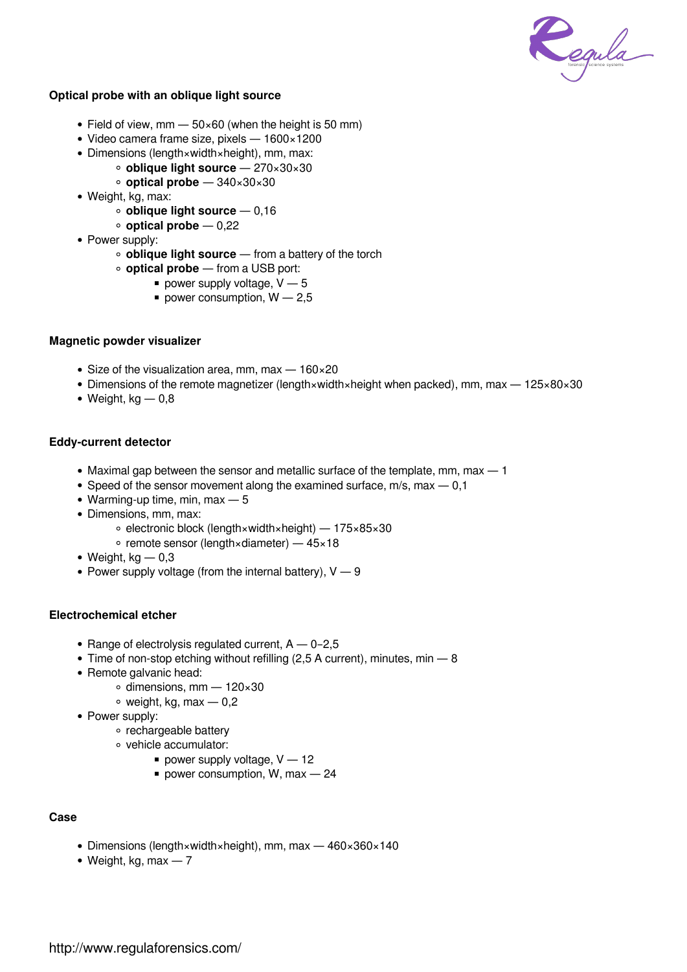

### **Optical probe with an oblique light source**

- Field of view, mm  $-50\times60$  (when the height is 50 mm)
- Video camera frame size, pixels 1600×1200
- Dimensions (length×width×height), mm, max:
	- **oblique light source** 270×30×30
	- **optical probe**  340×30×30
- Weight, kg, max:
	- **oblique light source** 0,16
	- **optical probe** 0,22
- Power supply:
	- **oblique light source** from a battery of the torch
	- **optical probe** from a USB port:
		- power supply voltage,  $V 5$
		- power consumption,  $W 2.5$

#### **Magnetic powder visualizer**

- Size of the visualization area, mm, max  $-160 \times 20$
- Dimensions of the remote magnetizer (length×width×height when packed), mm, max 125×80×30
- $\bullet$  Weight, kg  $-0.8$

## **Eddy-current detector**

- Maximal gap between the sensor and metallic surface of the template, mm, max 1
- Speed of the sensor movement along the examined surface,  $m/s$ , max  $-0.1$
- Warming-up time, min, max  $-5$
- Dimensions, mm, max:
	- electronic block (length×width×height) 175×85×30
	- $\circ$  remote sensor (length×diameter) 45×18
- $\bullet$  Weight, kg  $-0.3$
- Power supply voltage (from the internal battery),  $V 9$

#### **Electrochemical etcher**

- Range of electrolysis regulated current,  $A 0-2,5$
- $\bullet$  Time of non-stop etching without refilling (2,5 A current), minutes, min  $-8$
- Remote galvanic head:
	- $\circ$  dimensions, mm 120×30
	- $\circ$  weight, kg, max  $-0.2$
- Power supply:
	- rechargeable battery
	- vehicle accumulator:
		- power supply voltage,  $V 12$
		- power consumption, W, max  $-24$

#### **Case**

- Dimensions (length×width×height), mm, max 460×360×140
- $\bullet$  Weight, kg, max  $-7$